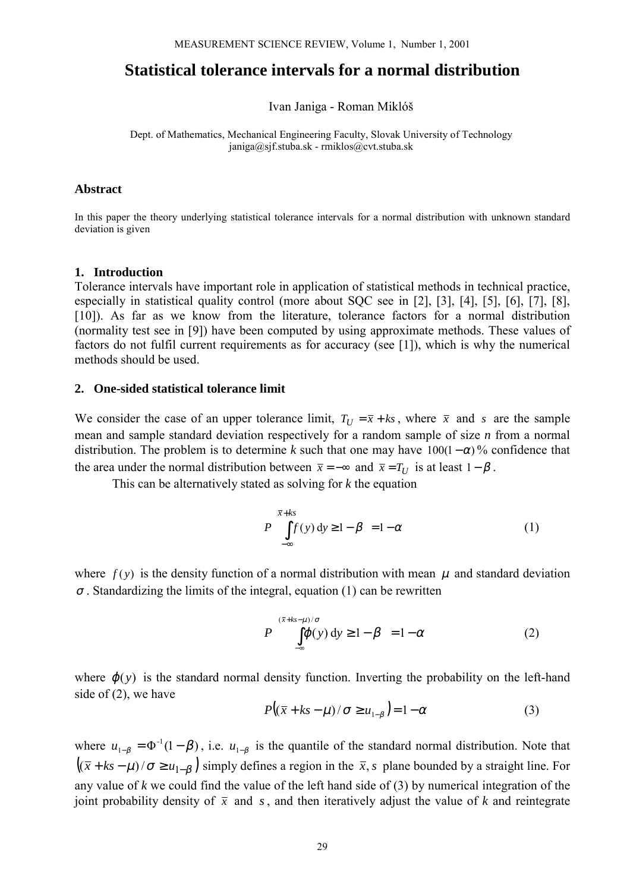# **Statistical tolerance intervals for a normal distribution**

Ivan Janiga - Roman Miklóš

Dept. of Mathematics, Mechanical Engineering Faculty, Slovak University of Technology janiga@sjf.stuba.sk - rmiklos@cvt.stuba.sk

#### **Abstract**

In this paper the theory underlying statistical tolerance intervals for a normal distribution with unknown standard deviation is given

### **1. Introduction**

Tolerance intervals have important role in application of statistical methods in technical practice, especially in statistical quality control (more about SQC see in [2], [3], [4], [5], [6], [7], [8], [10]). As far as we know from the literature, tolerance factors for a normal distribution (normality test see in [9]) have been computed by using approximate methods. These values of factors do not fulfil current requirements as for accuracy (see [1]), which is why the numerical methods should be used.

#### **2. One-sided statistical tolerance limit**

We consider the case of an upper tolerance limit,  $T_U = \bar{x} + k s$ , where  $\bar{x}$  and *s* are the sample mean and sample standard deviation respectively for a random sample of size *n* from a normal distribution. The problem is to determine k such that one may have  $100(1-\alpha)$ % confidence that the area under the normal distribution between  $\bar{x} = -\infty$  and  $\bar{x} = T_U$  is at least  $1 - \beta$ .

This can be alternatively stated as solving for *k* the equation

$$
P\left(\int_{-\infty}^{\overline{x}+ks} f(y) \, dy \ge 1 - \beta\right) = 1 - \alpha \tag{1}
$$

where  $f(y)$  is the density function of a normal distribution with mean  $\mu$  and standard deviation  $\sigma$ . Standardizing the limits of the integral, equation (1) can be rewritten

$$
P\left(\int_{-\infty}^{(\bar{x}+ks-\mu)/\sigma} (\rho(y) \, dy \ge 1-\beta\right) = 1-\alpha \tag{2}
$$

where  $\varphi(y)$  is the standard normal density function. Inverting the probability on the left-hand side of (2), we have

$$
P\big((\overline{x} + ks - \mu)/\sigma \ge u_{1-\beta}\big) = 1 - \alpha \tag{3}
$$

where  $u_{1-\beta} = \Phi^{-1}(1-\beta)$ , i.e.  $u_{1-\beta}$  is the quantile of the standard normal distribution. Note that  $((\bar{x} + ks - \mu)/\sigma \ge u_{1-\beta})$  simply defines a region in the  $\bar{x}$ , *s* plane bounded by a straight line. For any value of *k* we could find the value of the left hand side of (3) by numerical integration of the joint probability density of  $\bar{x}$  and *s*, and then iteratively adjust the value of *k* and reintegrate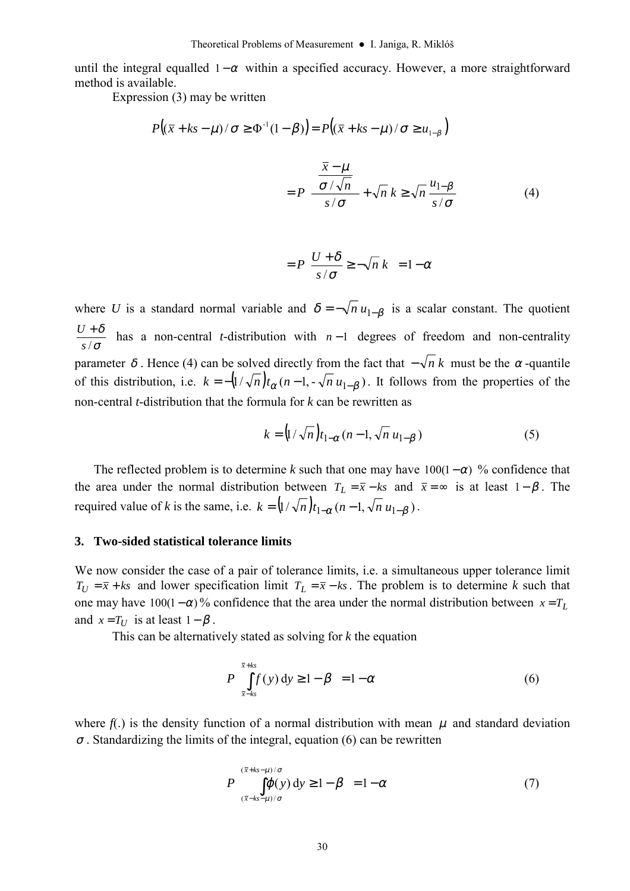until the integral equalled  $1 - \alpha$  within a specified accuracy. However, a more straightforward method is available.

Expression (3) may be written

$$
P\left((\overline{x} + ks - \mu)/\sigma \ge \Phi^{-1}(1 - \beta)\right) = P\left((\overline{x} + ks - \mu)/\sigma \ge u_{1-\beta}\right)
$$

$$
= P\left(\frac{\frac{\overline{x} - \mu}{\sigma/\sqrt{n}}}{s/\sigma} + \sqrt{n} k \ge \sqrt{n} \frac{u_{1-\beta}}{s/\sigma}\right)
$$
(4)
$$
= P\left(\frac{U + \delta}{s/\sigma} \ge -\sqrt{n} k\right) = 1 - \alpha
$$

where *U* is a standard normal variable and  $\delta = -\sqrt{n} u_{1-\beta}$  is a scalar constant. The quotient σ δ *s*/  $\frac{U+\delta}{U+\delta}$  has a non-central *t*-distribution with *n*-1 degrees of freedom and non-centrality parameter  $\delta$ . Hence (4) can be solved directly from the fact that  $-\sqrt{n} k$  must be the  $\alpha$ -quantile of this distribution, i.e.  $k = -\left(1/\sqrt{n}\right)t_{\alpha}(n-1, -\sqrt{n} u_{1-\beta})$ . It follows from the properties of the non-central *t*-distribution that the formula for *k* can be rewritten as

$$
k = \left(1/\sqrt{n}\right)t_{1-\alpha}(n-1,\sqrt{n} u_{1-\beta})\tag{5}
$$

The reflected problem is to determine k such that one may have  $100(1-\alpha)$  % confidence that the area under the normal distribution between  $T_L = \bar{x} - ks$  and  $\bar{x} = \infty$  is at least 1– $\beta$ . The required value of *k* is the same, i.e.  $k = (1/\sqrt{n}) t_{1-\alpha} (n-1, \sqrt{n} u_{1-\beta})$ .

#### **3. Two-sided statistical tolerance limits**

We now consider the case of a pair of tolerance limits, i.e. a simultaneous upper tolerance limit  $T_U = \bar{x} + ks$  and lower specification limit  $T_L = \bar{x} - ks$ . The problem is to determine *k* such that one may have 100(1– $\alpha$ )% confidence that the area under the normal distribution between  $x = T_L$ and  $x = T_U$  is at least  $1 - \beta$ .

This can be alternatively stated as solving for *k* the equation

$$
P\left(\int_{\bar{x}-ks}^{\bar{x}+ks} f(y) \, dy \ge 1 - \beta\right) = 1 - \alpha \tag{6}
$$

where  $f(.)$  is the density function of a normal distribution with mean  $\mu$  and standard deviation  $\sigma$ . Standardizing the limits of the integral, equation (6) can be rewritten

$$
P\left(\int_{(\bar{x}+ks-\mu)/\sigma}^{(\bar{x}+ks-\mu)/\sigma} (\bar{y}) dy \ge 1-\beta\right) = 1-\alpha
$$
 (7)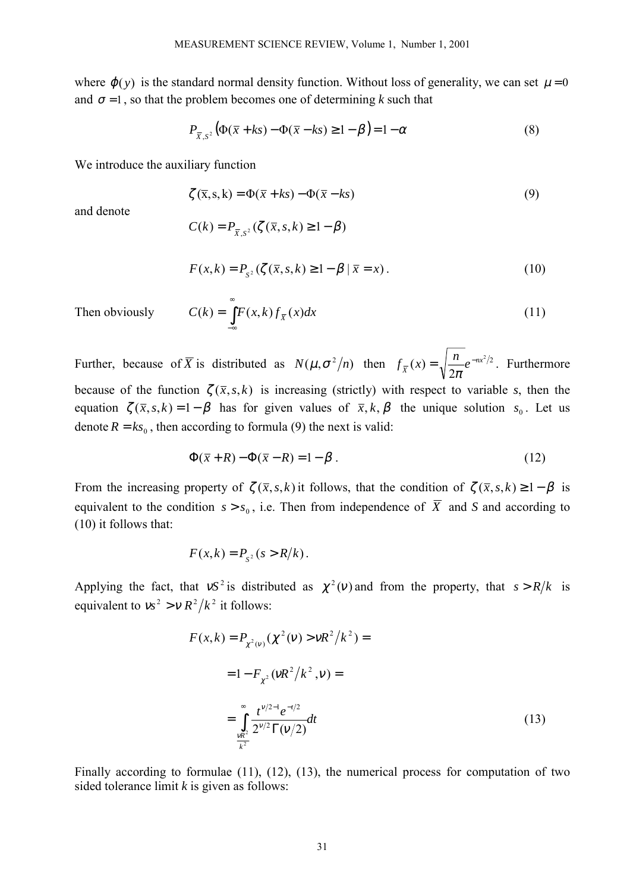where  $\varphi(y)$  is the standard normal density function. Without loss of generality, we can set  $\mu = 0$ and  $\sigma = 1$ , so that the problem becomes one of determining *k* such that

$$
P_{\overline{x},s^2}(\Phi(\overline{x}+ks)-\Phi(\overline{x}-ks) \ge 1-\beta)=1-\alpha
$$
\n(8)

We introduce the auxiliary function

$$
\zeta(\overline{x}, s, k) = \Phi(\overline{x} + ks) - \Phi(\overline{x} - ks)
$$
\n(9)

and denote

$$
C(k) = P_{\overline{X}, S^2}(\zeta(\overline{x}, s, k) \ge 1 - \beta)
$$
  

$$
F(x, k) = P_{\overline{x}}(\zeta(\overline{x}, s, k) > 1 - \beta | \overline{x} = x)
$$

$$
F(x,k) = P_{s^2}(\zeta(\bar{x}, s, k) \ge 1 - \beta | \bar{x} = x).
$$
 (10)

Then obviously 
$$
C(k) = \int_{-\infty}^{\infty} F(x,k) f_{\overline{x}}(x) dx
$$
 (11)

Further, because of  $\overline{X}$  is distributed as  $N(\mu, \sigma^2/n)$  then  $f_{\overline{X}}(x) = \sqrt{\frac{n}{2\pi}}e^{-nx^2/2}$ . Furthermore because of the function  $\zeta(\bar{x}, s, k)$  is increasing (strictly) with respect to variable *s*, then the equation  $\zeta(\bar{x}, s, k) = 1 - \beta$  has for given values of  $\bar{x}, k, \beta$  the unique solution  $s_0$ . Let us denote  $R = k s_0$ , then according to formula (9) the next is valid:

$$
\Phi(\overline{x} + R) - \Phi(\overline{x} - R) = 1 - \beta.
$$
\n(12)

From the increasing property of  $\zeta(\bar{x}, s, k)$  it follows, that the condition of  $\zeta(\bar{x}, s, k) \geq 1 - \beta$  is equivalent to the condition  $s > s_0$ , i.e. Then from independence of  $\overline{X}$  and *S* and according to (10) it follows that:

$$
F(x,k) = P_{S^2}(s > R/k).
$$

Applying the fact, that  $vS^2$  is distributed as  $\chi^2(v)$  and from the property, that  $s > R/k$  is equivalent to  $v_s^2 > v R^2/k^2$  it follows:

$$
F(x,k) = P_{\chi^2(v)}(\chi^2(v) > vR^2/k^2) =
$$
  
= 1 - F<sub>\chi^2</sub> (vR<sup>2</sup>/k<sup>2</sup>, v) =  

$$
= \int_{\frac{vR^2}{k^2}}^{\infty} \frac{t^{v/2-1}e^{-t/2}}{2^{v/2}\Gamma(v/2)}dt
$$
 (13)

Finally according to formulae (11), (12), (13), the numerical process for computation of two sided tolerance limit *k* is given as follows: